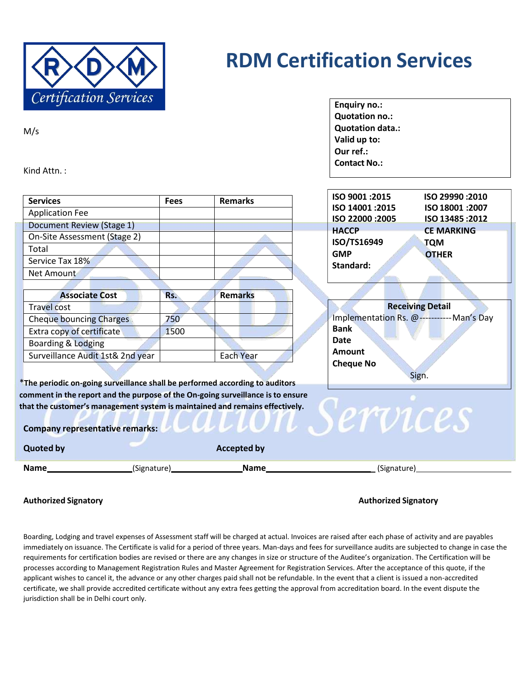

## **RDM Certification Services**

**Enquiry no.: Quotation no.: Quotation data.: Valid up to:**

M/s

| Kind Attn.:                                                                     |             |                    | Our ref.:<br><b>Contact No.:</b>                                    |
|---------------------------------------------------------------------------------|-------------|--------------------|---------------------------------------------------------------------|
|                                                                                 |             |                    |                                                                     |
| <b>Services</b>                                                                 | <b>Fees</b> | <b>Remarks</b>     | ISO 9001:2015<br>ISO 29990:2010<br>ISO 14001:2015<br>ISO 18001:2007 |
| <b>Application Fee</b>                                                          |             |                    | ISO 22000:2005<br>ISO 13485:2012                                    |
| Document Review (Stage 1)                                                       |             |                    | <b>HACCP</b><br><b>CE MARKING</b>                                   |
| On-Site Assessment (Stage 2)                                                    |             |                    | ISO/TS16949<br>TQM                                                  |
| Total                                                                           |             |                    | <b>GMP</b><br><b>OTHER</b>                                          |
| Service Tax 18%                                                                 |             |                    | Standard:                                                           |
| Net Amount                                                                      |             |                    |                                                                     |
|                                                                                 |             |                    |                                                                     |
| <b>Associate Cost</b>                                                           | Rs.         | <b>Remarks</b>     |                                                                     |
| <b>Travel cost</b>                                                              |             |                    | <b>Receiving Detail</b>                                             |
| <b>Cheque bouncing Charges</b>                                                  | 750         |                    | Implementation Rs. @----------- Man's Day                           |
| Extra copy of certificate                                                       | 1500        |                    | <b>Bank</b>                                                         |
| <b>Boarding &amp; Lodging</b>                                                   |             |                    | <b>Date</b>                                                         |
| Surveillance Audit 1st& 2nd year                                                |             | Each Year          | Amount                                                              |
|                                                                                 |             |                    | <b>Cheque No</b>                                                    |
| *The periodic on-going surveillance shall be performed according to auditors    |             |                    | Sign.                                                               |
| comment in the report and the purpose of the On-going surveillance is to ensure |             |                    |                                                                     |
| that the customer's management system is maintained and remains effectively.    |             |                    |                                                                     |
|                                                                                 |             |                    | i Services                                                          |
| Company representative remarks:                                                 |             |                    |                                                                     |
| <b>Quoted by</b>                                                                |             | <b>Accepted by</b> |                                                                     |
| (Signature) Management Control<br>Name                                          |             | Name               | (Signature)                                                         |

## **Authorized Signatory Authorized Signatory**

Boarding, Lodging and travel expenses of Assessment staff will be charged at actual. Invoices are raised after each phase of activity and are payables immediately on issuance. The Certificate is valid for a period of three years. Man-days and fees for surveillance audits are subjected to change in case the requirements for certification bodies are revised or there are any changes in size or structure of the Auditee's organization. The Certification will be processes according to Management Registration Rules and Master Agreement for Registration Services. After the acceptance of this quote, if the applicant wishes to cancel it, the advance or any other charges paid shall not be refundable. In the event that a client is issued a non-accredited certificate, we shall provide accredited certificate without any extra fees getting the approval from accreditation board. In the event dispute the jurisdiction shall be in Delhi court only.